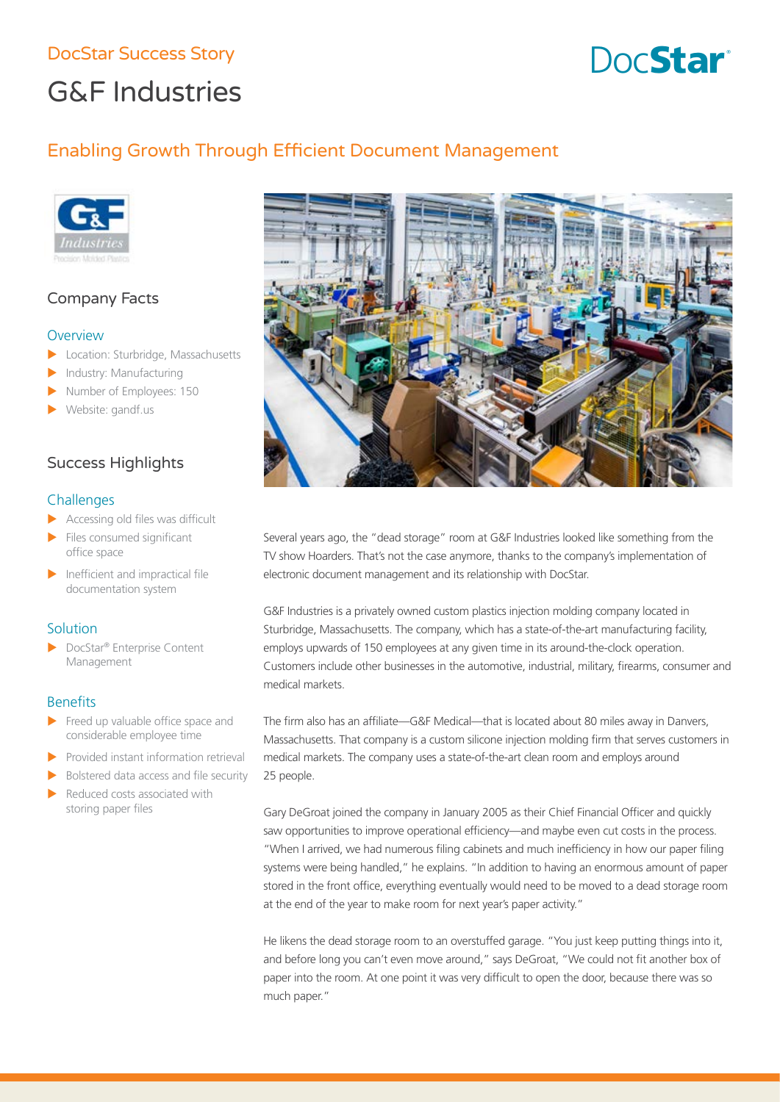# DocStar Success Story **Burnets** Contact Contact Contact Contact Contact Contact Contact Contact Contact Contact Contact Contact Contact Contact Contact Contact Contact Contact Contact Contact Contact Contact Contact Contac

# G&F Industries

# Enabling Growth Through Efficient Document Management



# Company Facts

#### **Overview**

- Location: Sturbridge, Massachusetts
- Industry: Manufacturing
- Number of Employees: 150
- Website: gandf.us

# Success Highlights

#### **Challenges**

- $\blacktriangleright$  Accessing old files was difficult
- Files consumed significant office space
- Inefficient and impractical file documentation system

#### **Solution**

▶ DocStar® Enterprise Content Management

#### **Benefits**

- Freed up valuable office space and considerable employee time
- Provided instant information retrieval
- Bolstered data access and file security
- Reduced costs associated with storing paper files



Several years ago, the "dead storage" room at G&F Industries looked like something from the TV show Hoarders. That's not the case anymore, thanks to the company's implementation of electronic document management and its relationship with DocStar.

G&F Industries is a privately owned custom plastics injection molding company located in Sturbridge, Massachusetts. The company, which has a state-of-the-art manufacturing facility, employs upwards of 150 employees at any given time in its around-the-clock operation. Customers include other businesses in the automotive, industrial, military, firearms, consumer and medical markets.

The firm also has an affiliate—G&F Medical—that is located about 80 miles away in Danvers, Massachusetts. That company is a custom silicone injection molding firm that serves customers in medical markets. The company uses a state-of-the-art clean room and employs around 25 people.

Gary DeGroat joined the company in January 2005 as their Chief Financial Officer and quickly saw opportunities to improve operational efficiency—and maybe even cut costs in the process. "When I arrived, we had numerous filing cabinets and much inefficiency in how our paper filing systems were being handled," he explains. "In addition to having an enormous amount of paper stored in the front office, everything eventually would need to be moved to a dead storage room at the end of the year to make room for next year's paper activity."

He likens the dead storage room to an overstuffed garage. "You just keep putting things into it, and before long you can't even move around," says DeGroat, "We could not fit another box of paper into the room. At one point it was very difficult to open the door, because there was so much paper."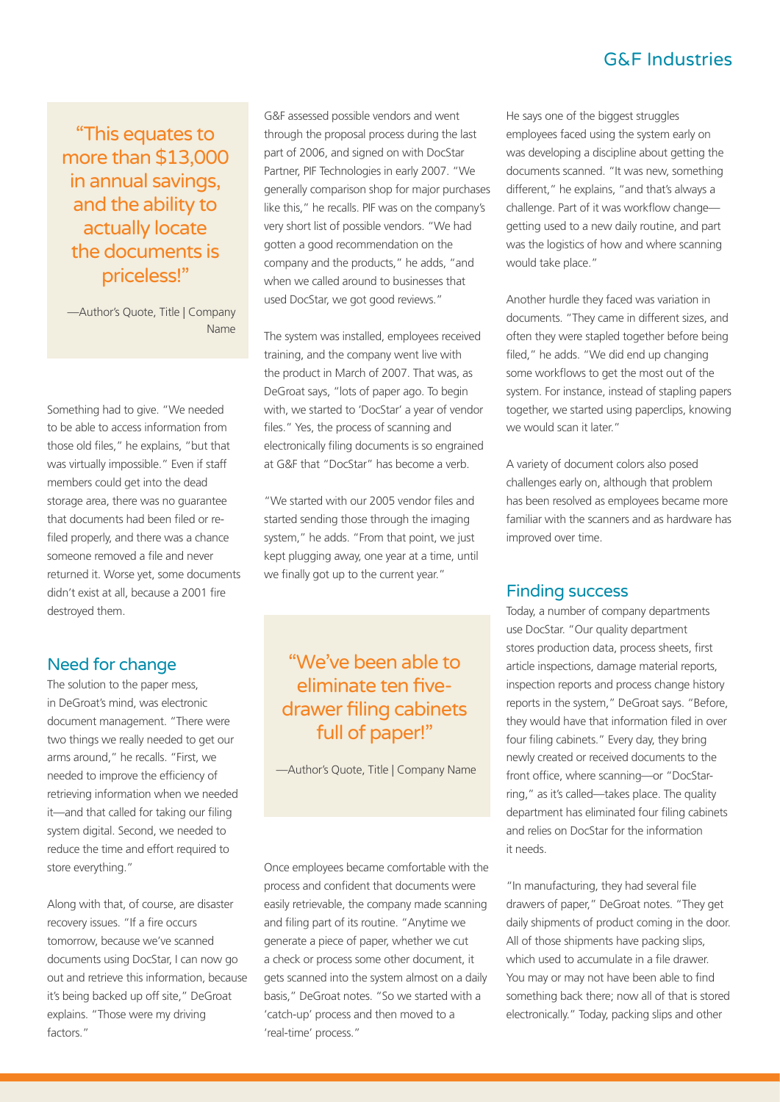# G&F Industries

"This equates to more than \$13,000 in annual savings, and the ability to actually locate the documents is priceless!"

—Author's Quote, Title | Company Name

Something had to give. "We needed to be able to access information from those old files," he explains, "but that was virtually impossible." Even if staff members could get into the dead storage area, there was no guarantee that documents had been filed or refiled properly, and there was a chance someone removed a file and never returned it. Worse yet, some documents didn't exist at all, because a 2001 fire destroyed them.

# Need for change

The solution to the paper mess, in DeGroat's mind, was electronic document management. "There were two things we really needed to get our arms around," he recalls. "First, we needed to improve the efficiency of retrieving information when we needed it—and that called for taking our filing system digital. Second, we needed to reduce the time and effort required to store everything."

Along with that, of course, are disaster recovery issues. "If a fire occurs tomorrow, because we've scanned documents using DocStar, I can now go out and retrieve this information, because it's being backed up off site," DeGroat explains. "Those were my driving factors."

G&F assessed possible vendors and went through the proposal process during the last part of 2006, and signed on with DocStar Partner, PIF Technologies in early 2007. "We generally comparison shop for major purchases like this," he recalls. PIF was on the company's very short list of possible vendors. "We had gotten a good recommendation on the company and the products," he adds, "and when we called around to businesses that used DocStar, we got good reviews."

The system was installed, employees received training, and the company went live with the product in March of 2007. That was, as DeGroat says, "lots of paper ago. To begin with, we started to 'DocStar' a year of vendor files." Yes, the process of scanning and electronically filing documents is so engrained at G&F that "DocStar" has become a verb.

"We started with our 2005 vendor files and started sending those through the imaging system," he adds. "From that point, we just kept plugging away, one year at a time, until we finally got up to the current year."

# "We've been able to eliminate ten fivedrawer filing cabinets full of paper!"

—Author's Quote, Title | Company Name

Once employees became comfortable with the process and confident that documents were easily retrievable, the company made scanning and filing part of its routine. "Anytime we generate a piece of paper, whether we cut a check or process some other document, it gets scanned into the system almost on a daily basis," DeGroat notes. "So we started with a 'catch-up' process and then moved to a 'real-time' process."

He says one of the biggest struggles employees faced using the system early on was developing a discipline about getting the documents scanned. "It was new, something different," he explains, "and that's always a challenge. Part of it was workflow change getting used to a new daily routine, and part was the logistics of how and where scanning would take place."

Another hurdle they faced was variation in documents. "They came in different sizes, and often they were stapled together before being filed," he adds. "We did end up changing some workflows to get the most out of the system. For instance, instead of stapling papers together, we started using paperclips, knowing we would scan it later."

A variety of document colors also posed challenges early on, although that problem has been resolved as employees became more familiar with the scanners and as hardware has improved over time.

#### Finding success

Today, a number of company departments use DocStar. "Our quality department stores production data, process sheets, first article inspections, damage material reports, inspection reports and process change history reports in the system," DeGroat says. "Before, they would have that information filed in over four filing cabinets." Every day, they bring newly created or received documents to the front office, where scanning—or "DocStarring," as it's called—takes place. The quality department has eliminated four filing cabinets and relies on DocStar for the information it needs.

"In manufacturing, they had several file drawers of paper," DeGroat notes. "They get daily shipments of product coming in the door. All of those shipments have packing slips, which used to accumulate in a file drawer. You may or may not have been able to find something back there; now all of that is stored electronically." Today, packing slips and other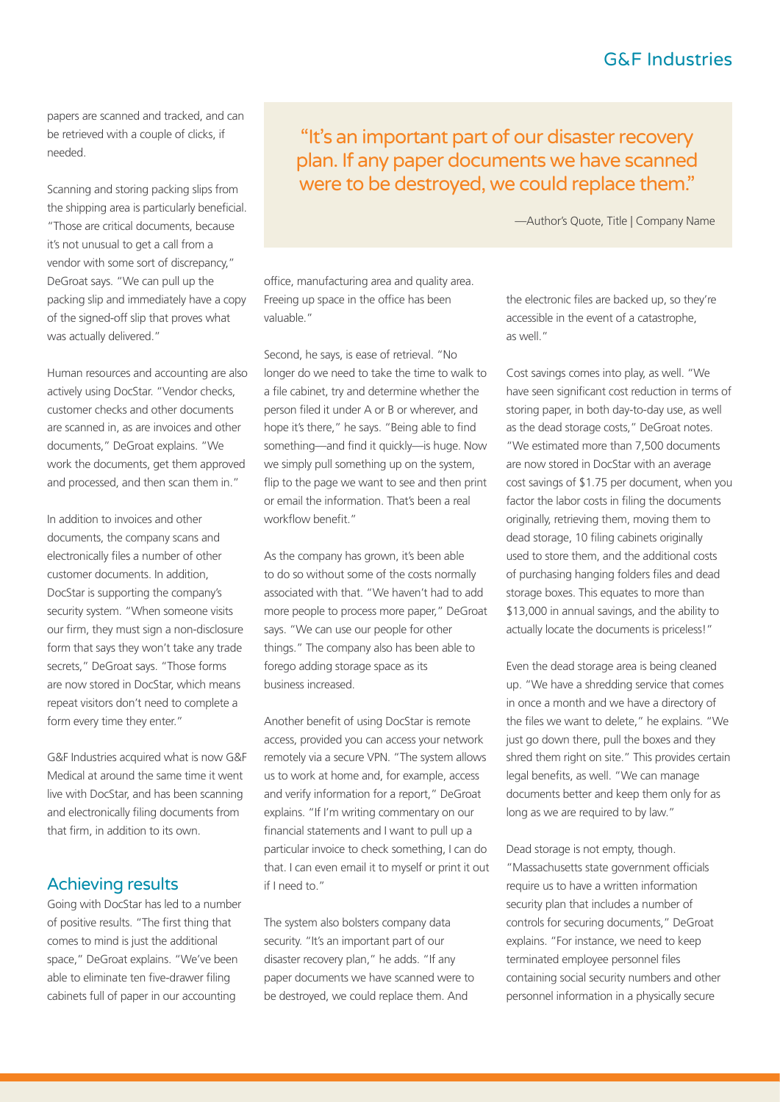# G&F Industries

papers are scanned and tracked, and can be retrieved with a couple of clicks, if needed.

Scanning and storing packing slips from the shipping area is particularly beneficial. "Those are critical documents, because it's not unusual to get a call from a vendor with some sort of discrepancy," DeGroat says. "We can pull up the packing slip and immediately have a copy of the signed-off slip that proves what was actually delivered."

Human resources and accounting are also actively using DocStar. "Vendor checks, customer checks and other documents are scanned in, as are invoices and other documents," DeGroat explains. "We work the documents, get them approved and processed, and then scan them in."

In addition to invoices and other documents, the company scans and electronically files a number of other customer documents. In addition, DocStar is supporting the company's security system. "When someone visits our firm, they must sign a non-disclosure form that says they won't take any trade secrets," DeGroat says. "Those forms are now stored in DocStar, which means repeat visitors don't need to complete a form every time they enter."

G&F Industries acquired what is now G&F Medical at around the same time it went live with DocStar, and has been scanning and electronically filing documents from that firm, in addition to its own.

#### Achieving results

Going with DocStar has led to a number of positive results. "The first thing that comes to mind is just the additional space," DeGroat explains. "We've been able to eliminate ten five-drawer filing cabinets full of paper in our accounting

"It's an important part of our disaster recovery plan. If any paper documents we have scanned were to be destroyed, we could replace them."

—Author's Quote, Title | Company Name

office, manufacturing area and quality area. Freeing up space in the office has been valuable."

Second, he says, is ease of retrieval. "No longer do we need to take the time to walk to a file cabinet, try and determine whether the person filed it under A or B or wherever, and hope it's there," he says. "Being able to find something—and find it quickly—is huge. Now we simply pull something up on the system, flip to the page we want to see and then print or email the information. That's been a real workflow benefit."

As the company has grown, it's been able to do so without some of the costs normally associated with that. "We haven't had to add more people to process more paper," DeGroat says. "We can use our people for other things." The company also has been able to forego adding storage space as its business increased.

Another benefit of using DocStar is remote access, provided you can access your network remotely via a secure VPN. "The system allows us to work at home and, for example, access and verify information for a report," DeGroat explains. "If I'm writing commentary on our financial statements and I want to pull up a particular invoice to check something, I can do that. I can even email it to myself or print it out if I need to."

The system also bolsters company data security. "It's an important part of our disaster recovery plan," he adds. "If any paper documents we have scanned were to be destroyed, we could replace them. And

the electronic files are backed up, so they're accessible in the event of a catastrophe, as well."

Cost savings comes into play, as well. "We have seen significant cost reduction in terms of storing paper, in both day-to-day use, as well as the dead storage costs," DeGroat notes. "We estimated more than 7,500 documents are now stored in DocStar with an average cost savings of \$1.75 per document, when you factor the labor costs in filing the documents originally, retrieving them, moving them to dead storage, 10 filing cabinets originally used to store them, and the additional costs of purchasing hanging folders files and dead storage boxes. This equates to more than \$13,000 in annual savings, and the ability to actually locate the documents is priceless!"

Even the dead storage area is being cleaned up. "We have a shredding service that comes in once a month and we have a directory of the files we want to delete," he explains. "We just go down there, pull the boxes and they shred them right on site." This provides certain legal benefits, as well. "We can manage documents better and keep them only for as long as we are required to by law."

Dead storage is not empty, though. "Massachusetts state government officials require us to have a written information security plan that includes a number of controls for securing documents," DeGroat explains. "For instance, we need to keep terminated employee personnel files containing social security numbers and other personnel information in a physically secure